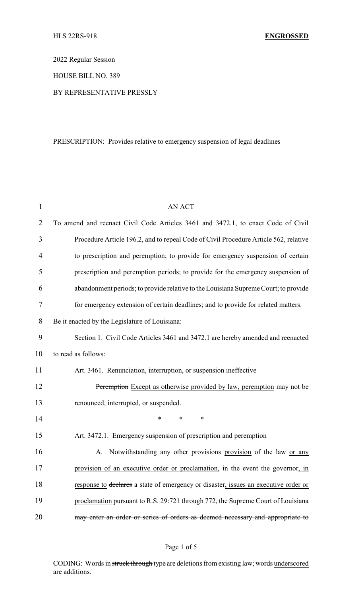2022 Regular Session

HOUSE BILL NO. 389

### BY REPRESENTATIVE PRESSLY

# PRESCRIPTION: Provides relative to emergency suspension of legal deadlines

| 1  | <b>AN ACT</b>                                                                        |
|----|--------------------------------------------------------------------------------------|
| 2  | To amend and reenact Civil Code Articles 3461 and 3472.1, to enact Code of Civil     |
| 3  | Procedure Article 196.2, and to repeal Code of Civil Procedure Article 562, relative |
| 4  | to prescription and peremption; to provide for emergency suspension of certain       |
| 5  | prescription and peremption periods; to provide for the emergency suspension of      |
| 6  | abandonment periods; to provide relative to the Louisiana Supreme Court; to provide  |
| 7  | for emergency extension of certain deadlines; and to provide for related matters.    |
| 8  | Be it enacted by the Legislature of Louisiana:                                       |
| 9  | Section 1. Civil Code Articles 3461 and 3472.1 are hereby amended and reenacted      |
| 10 | to read as follows:                                                                  |
| 11 | Art. 3461. Renunciation, interruption, or suspension ineffective                     |
| 12 | Peremption Except as otherwise provided by law, peremption may not be                |
| 13 | renounced, interrupted, or suspended.                                                |
| 14 | $\ast$<br>*<br>$\ast$                                                                |
| 15 | Art. 3472.1. Emergency suspension of prescription and peremption                     |
| 16 | A. Notwithstanding any other provisions provision of the law or any                  |
| 17 | provision of an executive order or proclamation, in the event the governor, in       |
| 18 | response to declares a state of emergency or disaster, issues an executive order or  |
| 19 | proclamation pursuant to R.S. 29:721 through 772, the Supreme Court of Louisiana     |
| 20 | may enter an order or series of orders as deemed necessary and appropriate to        |

# Page 1 of 5

CODING: Words in struck through type are deletions from existing law; words underscored are additions.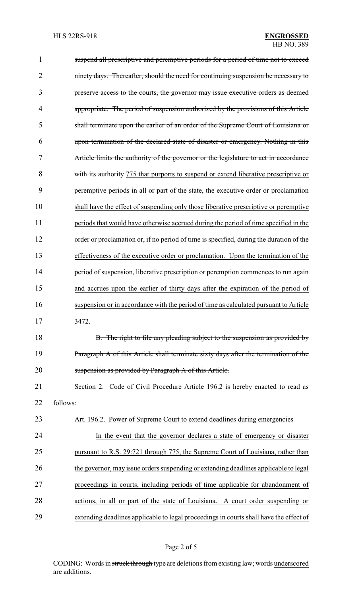| 1              | suspend all prescriptive and peremptive periods for a period of time not to exceed      |
|----------------|-----------------------------------------------------------------------------------------|
| $\overline{2}$ | ninety days. Thereafter, should the need for continuing suspension be necessary to      |
| 3              | preserve access to the courts, the governor may issue executive orders as deemed        |
| 4              | appropriate. The period of suspension authorized by the provisions of this Article      |
| 5              | shall terminate upon the earlier of an order of the Supreme Court of Louisiana or       |
| 6              | upon termination of the declared state of disaster or emergency. Nothing in this        |
| 7              | Article limits the authority of the governor or the legislature to act in accordance    |
| 8              | with its authority 775 that purports to suspend or extend liberative prescriptive or    |
| 9              | peremptive periods in all or part of the state, the executive order or proclamation     |
| 10             | shall have the effect of suspending only those liberative prescriptive or peremptive    |
| 11             | periods that would have otherwise accrued during the period of time specified in the    |
| 12             | order or proclamation or, if no period of time is specified, during the duration of the |
| 13             | effectiveness of the executive order or proclamation. Upon the termination of the       |
| 14             | period of suspension, liberative prescription or peremption commences to run again      |
| 15             | and accrues upon the earlier of thirty days after the expiration of the period of       |
| 16             | suspension or in accordance with the period of time as calculated pursuant to Article   |
| 17             | 3472.                                                                                   |
| 18             | B. The right to file any pleading subject to the suspension as provided by              |
| 19             | Paragraph A of this Article shall terminate sixty days after the termination of the     |
| 20             | suspension as provided by Paragraph A of this Article.                                  |
| 21             | Section 2. Code of Civil Procedure Article 196.2 is hereby enacted to read as           |
| 22             | follows:                                                                                |
| 23             | Art. 196.2. Power of Supreme Court to extend deadlines during emergencies               |
| 24             | In the event that the governor declares a state of emergency or disaster                |
| 25             | pursuant to R.S. 29:721 through 775, the Supreme Court of Louisiana, rather than        |
| 26             | the governor, may issue orders suspending or extending deadlines applicable to legal    |
| 27             | proceedings in courts, including periods of time applicable for abandonment of          |
| 28             | actions, in all or part of the state of Louisiana. A court order suspending or          |
| 29             | extending deadlines applicable to legal proceedings in courts shall have the effect of  |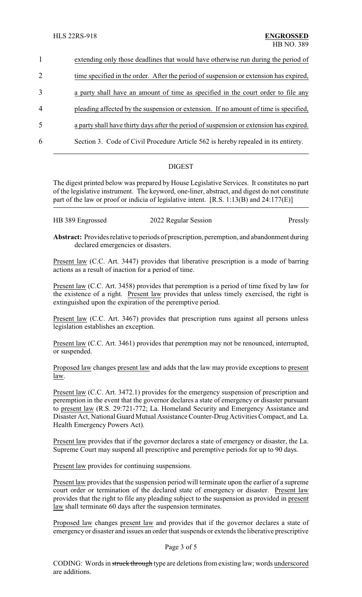| $\mathbf{1}$   | extending only those deadlines that would have otherwise run during the period of       |
|----------------|-----------------------------------------------------------------------------------------|
| $\overline{2}$ | time specified in the order. After the period of suspension or extension has expired,   |
| 3              | a party shall have an amount of time as specified in the court order to file any        |
| $\overline{4}$ | pleading affected by the suspension or extension. If no amount of time is specified,    |
| 5              | a party shall have thirty days after the period of suspension or extension has expired. |
| 6              | Section 3. Code of Civil Procedure Article 562 is hereby repealed in its entirety.      |
|                |                                                                                         |

## **DIGEST**

The digest printed below was prepared by House Legislative Services. It constitutes no part of the legislative instrument. The keyword, one-liner, abstract, and digest do not constitute part of the law or proof or indicia of legislative intent. [R.S. 1:13(B) and 24:177(E)]

| HB 389 Engrossed | 2022 Regular Session | Pressly |
|------------------|----------------------|---------|
|------------------|----------------------|---------|

**Abstract:** Provides relative to periods of prescription, peremption, and abandonment during declared emergencies or disasters.

Present law (C.C. Art. 3447) provides that liberative prescription is a mode of barring actions as a result of inaction for a period of time.

Present law (C.C. Art. 3458) provides that peremption is a period of time fixed by law for the existence of a right. Present law provides that unless timely exercised, the right is extinguished upon the expiration of the peremptive period.

Present law (C.C. Art. 3467) provides that prescription runs against all persons unless legislation establishes an exception.

Present law (C.C. Art. 3461) provides that peremption may not be renounced, interrupted, or suspended.

Proposed law changes present law and adds that the law may provide exceptions to present law.

Present law (C.C. Art. 3472.1) provides for the emergency suspension of prescription and peremption in the event that the governor declares a state of emergency or disaster pursuant to present law (R.S. 29:721-772; La. Homeland Security and Emergency Assistance and Disaster Act, National Guard Mutual Assistance Counter-Drug Activities Compact, and La. Health Emergency Powers Act).

Present law provides that if the governor declares a state of emergency or disaster, the La. Supreme Court may suspend all prescriptive and peremptive periods for up to 90 days.

Present law provides for continuing suspensions.

Present law provides that the suspension period will terminate upon the earlier of a supreme court order or termination of the declared state of emergency or disaster. Present law provides that the right to file any pleading subject to the suspension as provided in present law shall terminate 60 days after the suspension terminates.

Proposed law changes present law and provides that if the governor declares a state of emergency or disaster and issues an order that suspends or extends the liberative prescriptive

#### Page 3 of 5

CODING: Words in struck through type are deletions from existing law; words underscored are additions.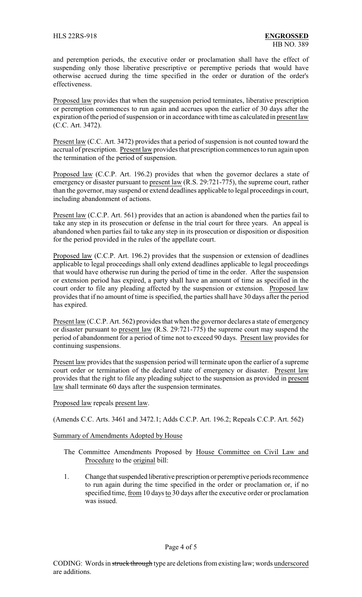and peremption periods, the executive order or proclamation shall have the effect of suspending only those liberative prescriptive or peremptive periods that would have otherwise accrued during the time specified in the order or duration of the order's effectiveness.

Proposed law provides that when the suspension period terminates, liberative prescription or peremption commences to run again and accrues upon the earlier of 30 days after the expiration of the period of suspension or in accordance with time as calculated in present law (C.C. Art. 3472).

Present law (C.C. Art. 3472) provides that a period of suspension is not counted toward the accrual of prescription. Present law provides that prescription commences to run again upon the termination of the period of suspension.

Proposed law (C.C.P. Art. 196.2) provides that when the governor declares a state of emergency or disaster pursuant to present law (R.S. 29:721-775), the supreme court, rather than the governor, may suspend or extend deadlines applicable to legal proceedings in court, including abandonment of actions.

Present law (C.C.P. Art. 561) provides that an action is abandoned when the parties fail to take any step in its prosecution or defense in the trial court for three years. An appeal is abandoned when parties fail to take any step in its prosecution or disposition or disposition for the period provided in the rules of the appellate court.

Proposed law (C.C.P. Art. 196.2) provides that the suspension or extension of deadlines applicable to legal proceedings shall only extend deadlines applicable to legal proceedings that would have otherwise run during the period of time in the order. After the suspension or extension period has expired, a party shall have an amount of time as specified in the court order to file any pleading affected by the suspension or extension. Proposed law provides that if no amount of time is specified, the parties shall have 30 days after the period has expired.

Present law (C.C.P. Art. 562) provides that when the governor declares a state of emergency or disaster pursuant to present law (R.S. 29:721-775) the supreme court may suspend the period of abandonment for a period of time not to exceed 90 days. Present law provides for continuing suspensions.

Present law provides that the suspension period will terminate upon the earlier of a supreme court order or termination of the declared state of emergency or disaster. Present law provides that the right to file any pleading subject to the suspension as provided in present law shall terminate 60 days after the suspension terminates.

Proposed law repeals present law.

(Amends C.C. Arts. 3461 and 3472.1; Adds C.C.P. Art. 196.2; Repeals C.C.P. Art. 562)

Summary of Amendments Adopted by House

- The Committee Amendments Proposed by House Committee on Civil Law and Procedure to the original bill:
- 1. Change that suspended liberative prescription or peremptive periods recommence to run again during the time specified in the order or proclamation or, if no specified time, from 10 days to 30 days after the executive order or proclamation was issued.